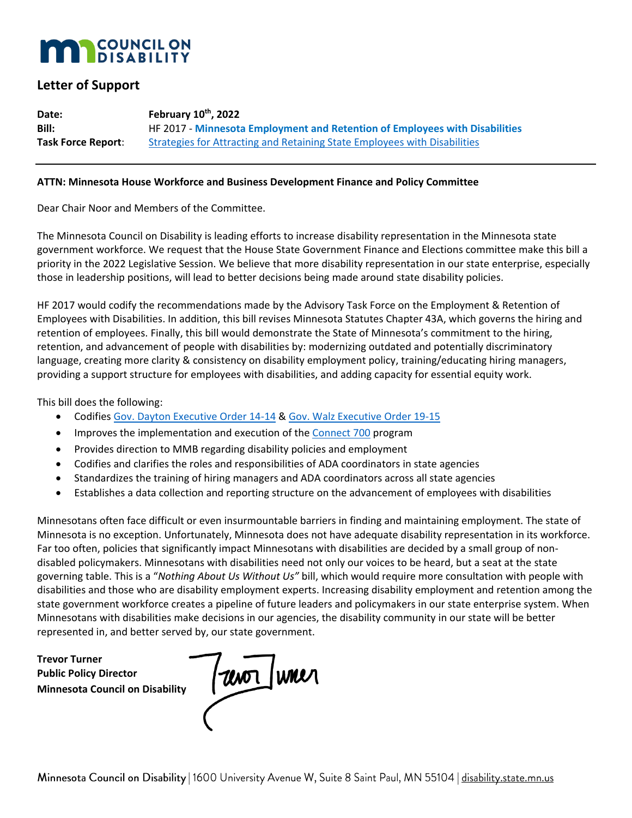## **COUNCIL ON**

## **Letter of Support**

**Date: February 10th, 2022 Bill:** HF 2017 - **Minnesota Employment and Retention of Employees with Disabilities Task Force Report:** [Strategies for Attracting and Retaining State Employees with Disabilities](https://www.lrl.mn.gov/docs/2021/mandated/210088.pdf)

### **ATTN: Minnesota House Workforce and Business Development Finance and Policy Committee**

Dear Chair Noor and Members of the Committee.

The Minnesota Council on Disability is leading efforts to increase disability representation in the Minnesota state government workforce. We request that the House State Government Finance and Elections committee make this bill a priority in the 2022 Legislative Session. We believe that more disability representation in our state enterprise, especially those in leadership positions, will lead to better decisions being made around state disability policies.

HF 2017 would codify the recommendations made by the Advisory Task Force on the Employment & Retention of Employees with Disabilities. In addition, this bill revises Minnesota Statutes Chapter 43A, which governs the hiring and retention of employees. Finally, this bill would demonstrate the State of Minnesota's commitment to the hiring, retention, and advancement of people with disabilities by: modernizing outdated and potentially discriminatory language, creating more clarity & consistency on disability employment policy, training/educating hiring managers, providing a support structure for employees with disabilities, and adding capacity for essential equity work.

This bill does the following:

- Codifies [Gov. Dayton Executive Order 14-14](https://www.lrl.mn.gov/archive/execorders/14-14.pdf) & [Gov. Walz Executive Order 19-15](https://mn.gov/governor/assets/2019_04_01_EO_19-15_tcm1055-378183.pdf)
- Improves the implementation and execution of the [Connect 700](https://mn.gov/mmb/careers/diverse-workforce/people-with-disabilities/connect700/) program
- Provides direction to MMB regarding disability policies and employment
- Codifies and clarifies the roles and responsibilities of ADA coordinators in state agencies
- Standardizes the training of hiring managers and ADA coordinators across all state agencies
- Establishes a data collection and reporting structure on the advancement of employees with disabilities

Minnesotans often face difficult or even insurmountable barriers in finding and maintaining employment. The state of Minnesota is no exception. Unfortunately, Minnesota does not have adequate disability representation in its workforce. Far too often, policies that significantly impact Minnesotans with disabilities are decided by a small group of nondisabled policymakers. Minnesotans with disabilities need not only our voices to be heard, but a seat at the state governing table. This is a "*Nothing About Us Without Us"* bill, which would require more consultation with people with disabilities and those who are disability employment experts. Increasing disability employment and retention among the state government workforce creates a pipeline of future leaders and policymakers in our state enterprise system. When Minnesotans with disabilities make decisions in our agencies, the disability community in our state will be better represented in, and better served by, our state government.

**Trevor Turner Public Policy Director Minnesota Council on Disability**